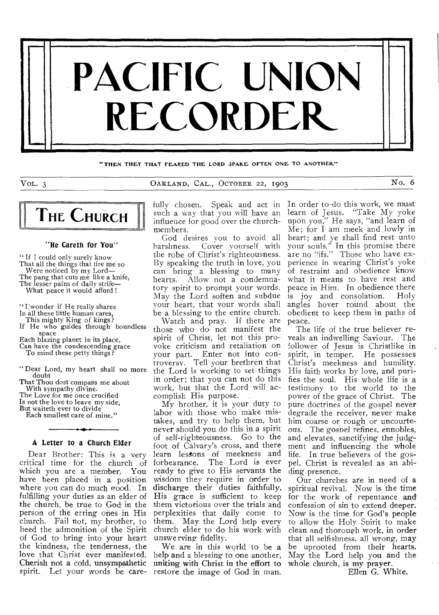

"THEN THEY THAT FEARED THE LORD SPAKE OFTEN ONE TO ANOTHER"

VOL. 3 OAKLAND, CAL., OCTOBER 22, 1903 No. 6



#### "He Careth for You"

" If I could only surely know That all the things that tire me so Were noticed by my Lord-The pang that cuts me like a knife,

The lesser pains of daily strife— What peace it would afford !

"I wonder if He really shares

- In all these little human cares,
- 
- This mighty King of kings? If He who guides through boundless

space Each blazing planet in its place,

Can have the condescending grace

- To mind these petty things?
- " Dear Lord, my heart shall no more doubt

That Thou dost compass me about With sympathy divine.

The Love for me once crucified Is not the love to leave my side,

But waiteth ever to divide

Each smallest care of mine."

## A Letter to a Church Elder

Dear Brother: This is a very critical time for the church of which you are a member. You have been placed in a position where you can do much good. In fulfilling your duties as an elder of the church, be true to God in the person of the erring ones in His church. Fail not, my brother, to heed the admonition of the Spirit of God to- bring into your heart the kindness, the tenderness, the love that Christ- ever manifested. Cherish not a cold, unsympathetic spirit. Let your words be care-

fully chosen. Speak and act in such a way that you will have an influence for good over the churchmembers.

God desires you to avoid all harshness. Cover yourself with the robe of Christ's righteousness. By speaking the truth in love, you can bring a blessing to many hearts. Allow not a condemnatory spirit to prompt your words. May the Lord soften and subdue your heart, that your words shall be a blessing to the entire church.

Watch and pray. If there are those who do not manifest the spirit of Christ, let not this provoke criticism and retaliation on your part. Enter not into controversy. Tell your brethren that the Lord is working to set things in order; that you can not do this work, but that the Lord will accomplish His purpose. .

My brother, it is your duty to labor with those who make mistakes, and try to help them, but never should you do this in a spirit of self-righteousness. Go to the foot of Calvary's cross, and there learn lessons of meekness and forbearance. The Lord is ever ready to give to His servants the wisdom they require in order' to discharge their duties faithfully. His grace is sufficient to keep them victorious over the trials and perplexities that daily come to them. May the Lord help every church elder to do his work with unswerving fidelity.

We are in this world to be a help and a blessing to one another, uniting with Christ in the effort to restore the image of God in man.

In order to-do this work, we must learn of Jesus. "Take My yoke upon you," He says, "and learn of Me; for I am meek and lowly in heart; and ye shall find rest unto your souls." In this promise there are no "ifs." Those who have experience in wearing Christ's yoke of restraint and obedience know what it means to have rest and peace in Him. In obedience there is joy and consolation. Holy angles hover round about the obedient to keep them in paths of peace.

The life of the true believer reveals an indwelling Saviour. The follower of Jesus is Christlike in spirit, in temper. He possesses Christ's meekness and humility. His faith works by love, and purifies the soul. His whole life is a testimony to the world to the power of the grace of Christ. The pure doctrines of the gospel never degrade the receiver, never make him coarse or rough or uncourteous. The gospel refines, ennobles, and elevates, sanctifying the judgment and influencing the whole life. In true believers of the gospel, Christ is revealed as an abiding presence.

Our churches are in need of a spiritual revival. Now is the time for the work of repentance and confession of sin to extend deeper. Now is the time for God's people to allow the Holy Spirit to make clean and thorough work, in order that all selfishness, all wrong, may be uprooted from their hearts. May the Lord help you and the whole church, is my prayer.

Ellen G. White.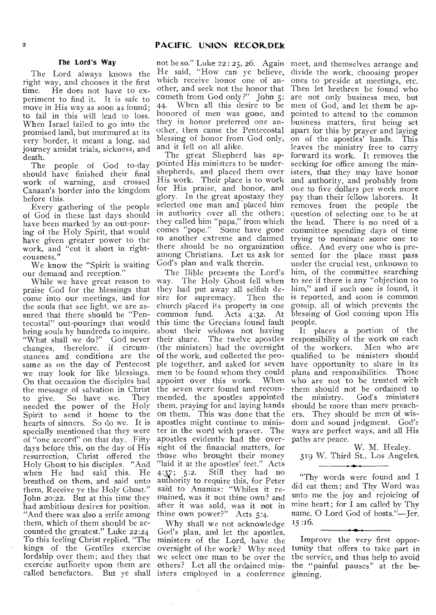# The Lord's Way

The Lord always knows the right way, and chooses it the first<br>time. He does not have to ex-He does not have to experiment to find it. It is safe to move in His way as soon as found; to fail in this will lead to loss. When Israel failed to go into the promised land, but murmured at its very border, it meant a long, sad journey amidst trials, sickness, and death.

The people of God to-day should have finished their final work of warning, and crossed Canaan's border into the kingdom before this.

Every gathering of the people of God in these last days should have been marked by an out-pouring of the Holy Spirit, that would have given greater power to the work, and "cut it short in righteousness."

We know the "Spirit is waiting our demand and reception."

While we have great reason to praise God for the blessings that come into our meetings, and for the souls that see light, we are assured that there should be "Pentecostal" out-pourings that would bring souls by hundreds to inquire, "What shall we do?" God never changes, therefore, if circumstances and conditions are the same as on the day of Pentecost we may look for like blessings. On that occasion the disciples had the message of salvation in Christ the seven were found and recomto give. So have we. They needed the power of the Holy Spirit to send it home to the hearts of sinners. So do we. It is specially mentioned that they were of "one accord" on that day. Fifty days before this, on the day of His resurrection, Christ offered the<br>Holy Ghost to his disciples. "And Holy Ghost to his disciples. " when He had said this, He breathed on them, and said unto them, Receive ye the Holy Ghost." John 20:22. But at this time they had ambitious desires for position. "And there was also a strife among them, which of them should be accounted the greatest." Luke 22:24 To this feeling Christ replied, "The kings of the Gentiles exercise lordship over them; and they that we select one man to be over the exercise authority upon them are others? Let all the ordained min-

not be so." Luke 22 : 25, 26. Again meet, and themselves arrange and which receive honor one of another, and seek not the honor that cometh from God only?" John 5: When all this desire to be honored of men was gone, and they in honor preferred one another, then came the Pentecostal blessing of honor from God only, and it fell on all alike.

The great Shepherd has appointed His ministers to be undershepherds, and placed them over His work. Their place is to work for His praise, and honor, and glory. In the great apostasy they selected one man and placed him in authority over all the others; they called him "papa," from which comes "pope." Some have gone to another extreme and claimed there should be no organization among Christians. Let us ask for God's plan and walk therein.

The Bible presents the Lord's way. The Holy Ghost fell when they had put away all selfish desire for supremacy. Then the church placed its property in one<br>common fund. Acts 4:32. At  $common$  fund.  $Acts$  4:32. this time the Grecians found fault about their widows not having their share. The twelve apostles (the ministers) had the oversight of the work, and collected the people together, and asked for seven men to be found whom they could<br>appoint over this work. When appoint over this work. mended, the apostles appointed them, praying for and laying hands on them. This was done that the apostles might continue to minister in the word with prayer. The apostles evidently had the oversight of the financial matters, for those who brought their money "laid it at the apostles' feet." Acts 4:37; 5:2. Still they had no authority to require this, for Peter said to Ananias: "Whiles it remained, was it not thine own? and after it was sold, was it not in thine own power?" Acts  $5:4$ .

called benefactors. But ye shall isters employed in a conference Why shall we not acknowledge God's plan, and let the apostles, ministers of the Lord, have the oversight of the work? Why need

He said, "How can ye believe, divide the work, choosing proper ones to preside at meetings, etc. Then let brethren be found who are not only business men, but men of God, and let them be appointed to attend to the common business matters, first being set apart for this by prayer and laying on of the apostles' hands. This leaves the ministry free to carry forward its work. It removes the seeking for office among the ministers, that they may have honor and authority, and probably from one to five dollars per week more pay than their fellow laborers. It removes from the people the question of selecting one to be at the head. There is no need of a committee spending days of time trying to nominate some one to office. And every one who is presented for the place must pass under the crucial test, unknown to him, of the committee searching to see if there is any "objection to him," and if such one is found, it is reported, and soon is common gossip, all of which prevents the blessing of God coming upon His people.

It places a portion of the responsibility of the work on each of the workers. Men who are qualified to be ministers should have opportunity to share in its plans and responsibilities. Those who are not to be trusted with them should not be ordained to<br>the ministry. God's ministers God's ministers should be more than mere preachers. They should be men of wisdom and sound judgment. God's ways are perfect ways, and all His paths are peace.

W. M. Healey. 319 W. Third St., Los Angeles.

"Thy words were found and I did eat them; and Thy Word was unto me the joy and rejoicing of mine heart ; for I am called by Thy name. 0 Lord God of hosts."—Jer. 15 :16.

Improve the very first opportunity that offers to take part in the service, and thus help to avoid the "painful pauses" at the beginning.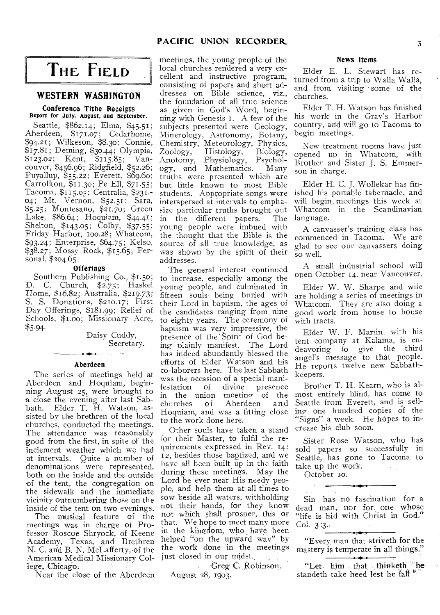# **PACIFIC UNION RECORDER.** 3

# **THE FIELD**

# **WESTERN WASHINGTON**

#### Conference Tithe Receipts Report for July, August, and September.

Seattle, \$862.14; Elma, \$45.51; Aberdeen, \$171.07; Cedarhome, \$94.21; Wilkeson, \$8.30; Connie, \$17.81; Deming, \$30.44; Olympia,  $$123.02$ ; Kent,  $$115.85$ ; Vancouver, \$456.96; Ridgfield, \$52.26; Puyallup, \$55.22; Everett, \$69.60; Carrollton, \$11.30; Pe Ell, \$71.55; Tacoma, \$115.05; Centralia, \$231.- 04; Mt. Vernon, \$52.51; Sara, \$5.25; Montesano, \$21.70; Green Lake, \$86.64; Hoquiam, \$44.41; Shelton, \$143.05; Colby, \$37.55; Friday Harbor, 100.28; Whatcom, \$93.24; Enterprise, \$64.75; Kelso, \$38.27; Mossy Rock, \$15.65; Personal, \$104.65.

#### **Offerings**

Southern Publishing Co., \$1.50; D. C. Church, \$2.75; Haskel Home, \$16.82; Australia, \$219.73; S. S. Donations, \$210.17; First Day Offerings, \$181.99; Relief of Schools, \$1.00; Missionary Acre, \$5.94.

## Daisy Cuddy, Secretary.

#### Aberdeen

The series of meetings held at Aberdeen and Hoquiam, beginning August 25, were brought to a close the evening after last Sabbath. Elder T. H. Watson, assisted by the brethren of the local churches, conducted the meetings. The attendance was reasonably good from the first, in spite of the inclement weather which we had at intervals. Quite a number of denominations were represented, both on the inside and the outside of the tent, the congregation on the sidewalk and the immediate vicinity outnumbering those on the inside of the tent on two evenings.

The musical feature of the meetings was in charge of Professor Roscoe Shryock, of Keene Academy, Texas, and Brethren N. C. and B. N. McLafferty, of the American Medical Missionary College, Chicago.

Near the close of the Aberdeen

meetings, the young people of the local churches rendered a very excellent and instructive program, consisting of papers and short addresses on Bible science, viz., the foundation of all true science as given in God's Word, beginning with Genesis 1. A few of the subjects presented were Geology, Minerology, Astronomy, Botany, Chemistry, Meteorology, Physics, Zoology, Histology, Biology,<br>Anotomy, Physiology, Psychol-Anotomy, Physiology, Psychology, and Mathematics. Many truths were presented which are but little known to most Bible students. Appropriate songs were interspersed at intervals to emphasize particular truths brought out<br>in the different papers. The the different papers. young people were imbued with the thought that the Bible is the source of all true knowledge, as was shown by the spirit of their addresses.

The general interest continued to increase, especially among the young people, and culminated in fifteen souls- being buried with their Lord in baptism, the ages of the candidates ranging from nine to eighty years. The ceremony of baptism was very impressive, the presence of the Spirit of God being plainly manifest. The Lord has indeed abundantly blessed the efforts of Elder Watson and his co-laborers here. The last Sabbath was the occasion of a special mani-<br>festation of divine presence festation of divine presence in the union meeting of the churches of Aberdeen and Hoquiam, and was a fitting close to the work done here.

Other souls have taken a stand for their Master, to fulfil the requirements expressed in Rev. 14: 12, besides those baptized, and we have all been built up in the faith during these meetings. May the Lord be ever near His needy people, and help them at all times to sow beside all waters, withholding not their hands, for they know not which shall prosper, this or that. We hope to meet many more in the kingdom, who have been helped "on the upward way" by the work done in the meetings just closed in our midst.

Greg C. Robinson. August 28, 1903.

#### News Items

Elder E. L. Stewart has returned from a trip to Walla Walla, and from visiting some of the churches.

Elder T. H. Watson has finished his work in the Gray's Harbor country, and will go to Tacoma to begin meetings.

New treatment rooms have just opened up in Whatcom, with Brother and Sister J. S. Emmerson in charge.

Elder H. C. J. Wollekar has finished his portable tabernacle, and will begin, meetings this week at Whatcom in the Scandinavian language.

A canvasser's training class has commenced in Tacoma. We are glad to see our canvassers doing so well.

A small industrial school will open October 14, near Vancouver,

Elder W. W. Sharpe and wife are holding a series of meetings in Whatcom. They are also doing a good work from house to house with tracts.

Elder W. F. Martin. with his tent company at Kalama, is endeavoring to give the third angel's message to that people. He reports twelve new Sabbathkeepers.

Brother T. H. Kearn, who is almost entirely blind, has come to Seattle from Everett, and is selling one hundred copies of the "Signs" a week. He hopes to increase his club soon.

Sister Rose Watson, who has sold papers so successfully in Seattle, has gone to Tacoma to take up the work.

October 10.

Sin has no fascination for a dead man, nor for one whose "life is hid with Christ in God." Col. 3:3..

"Every man that striveth for the mastery is temperate in all things."

**. . .** "Let him that thinketh ' he standeth take heed lest he fall<sup>1</sup>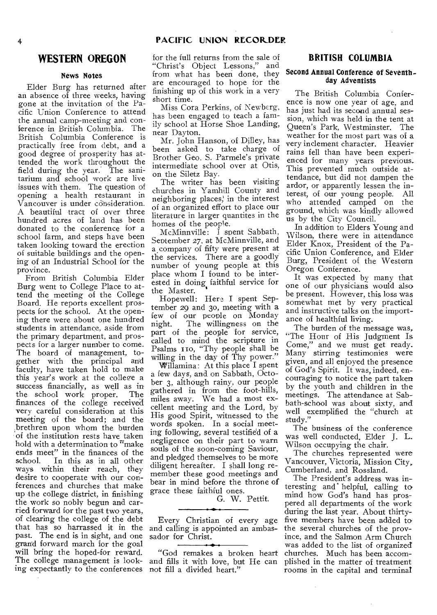# **WESTERN OREGON**

# **News Notes**

Elder Burg has returned after an absence of three weeks, having gone at the invitation of the Pacific Union Conference to attend the annual camp-meeting and conference in British Columbia. The British Columbia Conference is practically free from debt, and a good degree of prosperity has attended the work throughout the field during the year: The sanitarium and school work are live issues with them. The question of opening a health restaurant in Vancouver is under consideration. A beautiful tract of over three hundred acres of land has been donated to the conference for a school farm, and steps have been taken looking toward the erection of suitable buildings and the opening of an Industrial School for the province.

From British Columbia Elder Burg went to College Place to attend the meeting of the College Board. He reports excellent prospects for the school. At the opening there were about one hundred students in attendance, aside from the primary department, and prospects for a larger number to come. The board of management, together with the principal and faculty, have taken hold to make this year's work at the college a success financially, as well as in the school work proper. The finances of the college received very careful consideration at this meeting of the board; and the brethren upon whom the burden of the institution rests have taken hold with a determination to  $\pi$ make ends meet" in the finances of the<br>school. In this as in all other In this as in all other ways within their reach, they desire to cooperate with our conferences and churches that make up the college district, in finishing the work so nobly begun and carried forward for the past two years, of clearing the college of the debt that has so harrassed it in the and calling is appointed an ambaspast. The end is in sight, and one grand forward march for the goal will bring the hoped-for reward. The college management is look-and fills it with love, but He can ing expectantly to the conferences not fill a divided heart."

for the full returns from the sale of<br>"Christ's Object Lessons." and "Christ's Object Lessons," from what has been done, they are encouraged to hope for the finishing up of this work in a very short time.

Miss Cora Perkins, of Newberg, has been engaged to teach a family school at Horse Shoe Landing, near Dayton.

Mr. John Hanson, of Dilley, has been asked to take charge of Brother Geo. S. Parmele's private intermediate school over at Otis, on the Siletz Bay.

The writer has been visiting churches in Yamhill County and neighboring places, in the interest of an organized effort to place our literature in larger quantites in the homes of the people.

McMinnville: I spent Sabbath, September 27, at McMinnville, and a company of fifty were present at the services. There are a goodly number of young people at this place whom I found to be interested in doing faithful service for the Master.

Hopewell: Here I spent September 29 and 3o, meeting with a few of our people on Monday<br>night. The willingness on the The willingness on the part of the people for service, called to mind the scripture in Psalms Ito, "Thy people shall be willing in the day of Thy power."

Willamina: At this place I spent a few days, and on Sabbath, October 3, although rainy, our people gathered in from the foot-hills, miles away. We had a most excellent meeting and the Lord, by His good Spirit, witnessed to the words spoken. In a social meeting following, several testified of a negligence on their part to warn souls of the soon-coming Saviour, and pledged themselves to be more diligent hereafter. I shall long remember these good meetings and bear in mind before the throne of grace these faithful ones.

G. W. Pettit.

Every Christian of every age sador for Christ.

"God remakes a broken heart

# **BRITISH COLUMBIA**

## **Second Annual Conference of Seventhday Adventists**

The British Columbia Conference is now one year of age, and has just had its second annual session, which was held in the tent at Queen's Park, Westminster. The weather for the most part was of a very inclement character. Heavier rains fell than have been experienced for many years previous. This prevented much outside attendance, but did not dampen the ardor, or apparently lessen the interest, of our young people. All who attended camped on the ground, which was kindly allowed us by the City Council.

In addition to Elders Young and Wilson, there were in attendance Elder Knox, President of the Pacific Union Conference, and Elder Burg, President of the Western Oregon Conference.

It was expected by many that one of our physicians would also be present. However, this loss was somewhat met by very practical and instructive talks on the importance of healthful living.

The burden of the message was, "The Hour of His Judgment Is Come," and we must get ready. Many stirring testimonies were given, and all enjoyed the presence of God's Spirit. It was, indeed, encouraging to notice the part taken by the youth and children in the meetings. The attendance at Sabbath-school was about sixty, and well exemplified the "church at study.'

The business of the conference was well conducted, Elder J. L. Wilson occupying the chair.

The churches represented were Vancouver, Victoria, Mission City, Cumberland, and Rossland.

The President's address was interesting and helpful, calling to mind how God's hand has prospered all departments of the work during the last year. About thirtyfive members have been added to the several churches of the province, and the Salmon Arm Church was added to the list of organized churches. Much has been accomplished in the matter of treatment rooms in the capital and terminal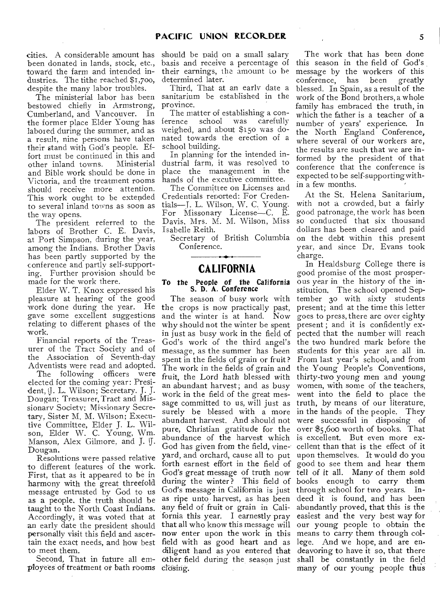cities. A considerable amount has should be paid on a small salary been donated in lands, stock, etc., basis and receive a percentage of toward the farm and intended industries. The tithe reached \$1,7oo, despite the many labor troubles.

bestowed chiefly in Armstrong, Cumberland, and Vancouver. In the former place Elder Young has labored during the summer, and as a result, nine persons have taken their stand with God's people. Effort must be continued in this and<br>other inland towns. Ministerial other inland towns. and Bible work should be done in Victoria, and the treatment rooms should receive more attention. This work ought to be extended to several inland towns as soon as the way opens.

The president referred to the labors of Brother C. E. Davis, at Port Simpson, during the year, among the Indians. Brother Davis has been partly supported by the conference and partly self-supporting. Further provision should be made for the work there.

Elder W. T. Knox expressed his pleasure at hearing of the good work done during the year. He gave some excellent suggestions relating to different phases of the work.

Financial reports of the Treasurer of the Tract Society and of the Association of Seventh-day Adventists were read and adopted.

The following officers were elected for the coming year: President, J. L. Wilson; Secretary. J. J. Dougan; Treasurer, Tract and Missionary Society; Missionary Secretary, Sister M. M. Wilson; Executive Committee, Elder J. L. Wilson, Elder W. C. Young, Wm. Manson, Alex Gilmore, and J. J. Dougan.

Resolutions were passed relative to different features of the work. First, that as it appeared to be in harmony with the great threefold message entrusted by God to us as a people, the truth should be taught to the North Coast Indians. Accordingly, it was voted that at an early date the president should personally visit this field and ascertain the exact needs, and how best to meet them.

Second, That in future all employees of treatment or bath rooms closing.

their earnings, the amount to be determined later.

The ministerial labor has been sanitarium be established in the Third, That at an early date a province.

> The matter of establishing a conference school was carefully weighed, and about \$150 was donated towards the erection of a school building.

In planning for the intended industrial farm, it was resolved to place the management in the hands of the excutive committee.

The Committee on Licenses and Credentials reported: For Credentials—J. L. Wilson, W. C. Young. For Missonary License—C. E. Davis, Mrs. M. M. Wilson, Miss Isabelle Reith.

Secretary of British Columbia Conference.

# **CALIFORNIA**

# To the People of the California S. D. A. Conference

The season of busy work with the crops is now practically past, and the winter is at hand. Now why should not the winter be spent present ; and it is confidently exin just as busy work in the field of pected that the number will reach spent in the fields of grain or fruit? From last year's school, and from an abundant harvest; and as busy work in the field of the great message committed to us, will just as truth, by means of our literature, surely be blessed with a more in the hands of the people. They abundant harvest. And should not were successful in disposing of pure, Christian gratitude for the over \$5,600 worth of books. That abundance of the harvest which is excellent. But even more ex-God has given from the field, vine-cellent than that is the effect of it yard, and orchard, cause all to put upon themselves. It would do you forth earnest effort in the field of good to see them and hear them God's great message of truth now tell of it all. Many of them sold during the winter? This field of books enough to carry them God's message in California is just through school for two years. Inas ripe unto harvest, as has been deed it is found, and has been any field of fruit or grain in Cali-abundantly proved, that this is the fornia this year. I earnestly pray easiest and the very best way for that all who know this message will our young people to obtain the now enter upon the work in this means to carry them through colfield with as good heart and as lege. And we hope, and are endiligent hand as you entered that deavoring to have it so, that there

The work that has been done this season in the field of God's message by the workers of this conference, has been greatly blessed. In Spain, as a result of the work of the Bond brothers, a whole family has embraced the truth, in which the father is a teacher of a number of years' experience. In the North England Conference, where several of our workers are, the results are such that we are informed by the president of that conference that the conference is expected to be self-supporting within a few months.

At the St. Helena Sanitarium, with not a crowded, but a fairly good patronage, the work has been so conducted that six thousand dollars has been cleared and paid on the debt within this present year, and since Dr. Evans took charge.

God's work of the third angel's the two hundred mark before the message, as the summer has been students for this year are all in. The work in the fields of grain and the Young People's Conventions, fruit, the Lord hath blessed with thirty-two young men and young other field during the season just shall be constantly in the field In Healdsburg College there is good promise of the most prosperous year in the history of the institution. The school opened September 30 with sixty students present; and at the time this letter goes to press, there are over eighty women, with some of the teachers, went into the field to place the many of our young people thus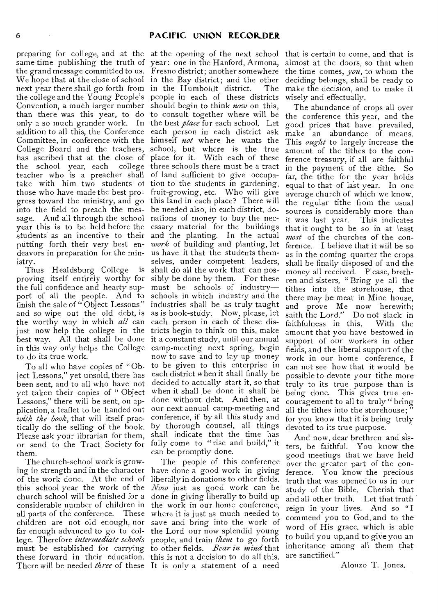same time publishing the truth of year: one in the Hanford, Armona, the grand message committed to us. Fresno district; another somewhere the time comes, *you,* to whom the We hope that at the close of school in the Bay district; and the other next year there shall go forth from in the Humboldt district. The the college and the Young People's people in each of these districts Convention, a much larger number should begin to think *now* on this, than there was this year, to do to consult together where will be only a so much grander work. In the best *place* for each school. Let addition to all this, the Conference each person in each district ask Committee, in conference with the himself *not* where he wants the College Board and the teachers, school, but where is the true has ascribed that at the close of place for it. With each of these the school year, each college three schools there must be a tract teacher who is a preacher shall of land sufficient to give occupatake with him two students of tion to the students in gardening, those who have made the best pro-fruit-growing, etc. Who will give gress toward the ministry, and go this land in each place? There will into the field to preach the mes-be needed also, in each district, dosage. And all through the school nations of money to buy the necyear this is to be held before the essary material for the buildings students as an incentive to their and the planting. In the actual putting forth their very best endeavors in preparation for the ministry.

proving itself entirely worthy for the full confidence and hearty support of all the people. And to finish the sale of " Object Lessons" and so wipe out the old debt, is the worthy way in which *all* can just now help the college in the best way. All that shall be done in this way only helps the College to do its true work.

To all who have copies of "Object Lessons," yet unsold, there has been sent, and to all who have not yet taken their copies of " Object Lessons," there will be sent, on application, a leaflet to be handed out *with the book,* that will itself practically do the selling of the book. Please ask your librarian for them, or send to the Tract Society for them.

The church-school work is growing in strength and in the character of the work done. At the end of this school year the work of the church school will be finished for a considerable number of children in all parts of the conference. These where it is just as much needed to children are not old enough, nor far enough advanced to go to college. Therefore *intermediate schools*  people, and train *them* to go forth must be established for carrying to other fields. *Bear in mind* that these forward in their education. this is not a decision to do all this. There will be needed *three* of these It is only a statement of a need

preparing for college, and at the at the opening of the next school that is certain to come, and that is Thus Healdsburg College is shall do all the work that can pos*work* of building and planting, let us have it that the students themselves, under competent leaders, sibly be done by them. For these must be schools of industry schools in which industry and the industries shall be as truly taught as is book-study. Now, please, let each person in each of these districts begin to think on this, make it a constant study, until our annual camp-meeting next spring, begin now to save and to lay up money to be given to this enterprise in each district when it shall finally be decided to actually start it, so that when it shall be done it shall be done without debt. And then, at our next annual camp-meeting and conference, if by all this study and by thorough counsel, all things shall indicate that the time has fully come to "rise and build," it can be promptly done.

> The people of this conference have done a good work in giving liberally in donations to other fields. *Now* just as good work can be done in giving liberally to build up the work in our home conference, save and bring into the work of the Lord our now splendid young

almost at the doors, so that when deciding belongs, shall be ready to make the decision, and to make it wisely and effectually.

The abundance of crops all over the conference this year, and the good prices that have prevailed, make an abundance of means. This *ought* to largely increase the amount of the tithes to the conference treasury, if all are faithful in the payment of the tithe. So far, the tithe for the year holds equal to that of last year. In one average church of which we know, the regular tithe from the usual sources is considerably more than it was last year. This indicates that it ought to be so in at least *most* of the churches of the conference. I believe that it will be so as in the coming quarter the crops shall be finally disposed of and the money all received. Please, brethren and sisters, " Bring ye all the tithes into the storehouse, that there may be meat in Mine house, and prove Me now herewith; saith the Lord." Do not slack in<br>faithfulness in this. With the faithfulness in this. amount that you have bestowed in support of our workers in other fields, and the liberal support of the work in our home conference, I can not see how that it would be possible to devote your tithe more truly to its true purpose than is being done. This gives true encouragement to all to truly " bring all the tithes into the storehouse; for you know that it is being truly devoted to its true purpose.

And now, dear brethren and sisters, be faithful. You know the good meetings that we have held over the greater part of the conference. You know the precious truth that was opened to us in our study of the Bible. Cherish that and all other truth. Let that truth reign in your lives. And so "I commend you to God, and to the word of His grace, which is able to build you up, and to give you an inheritance among all them that are sanctified."

Alonzo T. Jones.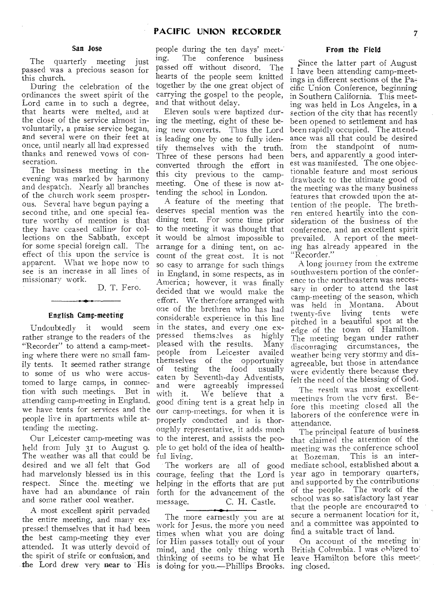#### San Jose

 $\sim$ 

The quarterly meeting just passed was a precious season for this church.

During the celebration of the ordinances the sweet spirit of the Lord came in to such a degree, that hearts were melted, and at the close of the service almost involuntarily, a praise service began, and several were on their feet at once, until nearly all had expressed thanks and renewed vows of consecration.

The business meeting in the evening was marked by harmony and despatch. Nearly all branches of the church work seem prosperous. Several have begun paying a second tithe, and one special feature worthy of mention is that they have ceased calling-for collections on the Sabbath, except for some special foreign call. The effect of this upon the service is apparent. What we hope now to see is an increase in all lines of missionary work.

D. T. Fero.

#### English Camp-meeting

Undoubtedly it would seem rather strange to the readers of the "Recorder" to attend a camp-meeting where there were no small family tents. It seemed rather strange to some of us who were accustomed to large camps, in connection with such meetings. But in attending camp-meeting in England, we have tents for services and the people live in apartments while attending the meeting.

Our Leicester camp-meeting was held from July 31 to August 9. The weather was all that could be desired and we all felt that God had marvelously blessed us in this respect. Since the, meeting we have had an abundance of rain and some rather cool weather.

A most excellent spirit pervaded the entire meeting, and many expressed themselves that it had been the best camp-meeting they ever attended. It was utterly devoid of the spirit of strife or confusion', and the Lord drew very near to His

people during the ten days' meet-<br>ing. The conference business The conference business passed off without discord. The hearts of the people seem knitted together by the one great object of carrying the gospel to the people, and that without delay.

Eleven souls were baptized during the meeting, eight of these being new converts. Thus the Lord is leading one by one to fully identify themselves with the truth. Three of these persons had been converted through the effort in this city previous to the campmeeting. One of these is now attending the school in London.

A feature of the meeting that deserves special mention was the dining tent. For some time prior to the meeting it was thought that it would be almost impossible to arrange for a dining tent, on account of the great cost. It is not so easy to arrange for such things in England, in some respects, as in America; however, it was finally decided that we would make the effort. We therefore arranged with one of the brethren who has had considerable experience in this line in the states, and every \_one expressed themselves as highly pleased with the results. Many people from Leicester availed themselves of the opportunity of testing the food usually eaten by Seventh-day Adventists, and were agreeably impressed with it. We believe that a with it. We believe that a<br>good dining tent is a great help in our camp-meetings. for when it is properly conducted and is thoroughly representative, it adds much to the interest, and assists the people to get hold of the idea of healthful living.

The workers are all of good courage, feeling that the Lord is helping in the efforts that are put forth for the advancement of the message. C. H. Castle.

The more earnestly you are at work for Jesus, the more you need times when what you are doing for Him passes totally out of your mind, and the only thing worth thinking of seems to be what He is doing for you.—Phillips Brooks.

## From the Field

Since the latter part of August I have been attending camp-meetings in different sections of the Pacific Union Conference, beginning in Southern California. This meeting was held in Los Angeles, in a section of the city that has recently been opened to settlement and has been rapidly occupied. The attendance was all that could be desired from the standpoint of numbers, and apparently a good interest was manifested. The one objectionable feature and most serious drawback to the ultimate good of the meeting was the many business features that crowded upon the attention of the people. The brethren entered heartily into the consideration of the business of the conference, and an excellent spirit prevailed. A report of the meeting has already appeared in the "Recorder."

A long journey from the extreme southwestern portion of the conference to the northeastern was necessary in order to attend the last camp-meeting of the season, which was held in Montana. About twenty-five living tents were pitched in a beautiful spot at the edge of the town of Hamilton. The meeting began under rather discouraging circumstances, the weather being very stormy and disagreeable, but those in attendance were evidently there because they felt the need of the blessing of God.

The result was most excellent, meetings from the very first. Before this meeting closed all the laborers of the conference were in. attendance.

The principal feature of business that claimed the attention of the meeting was the conference school, at Bozeman. This is an intermediate school, established about a. year ago in temporary quarters, and supported by the contributions' of the people. The work of the school was so satisfactory last year that the people are encouraged to secure a permanent location for it,' and a committee was appointed to find a suitable tract of land.

On account of the meeting in' British Columbia. I was ohiiged to' leave Hamilton before this meet-'. ing closed.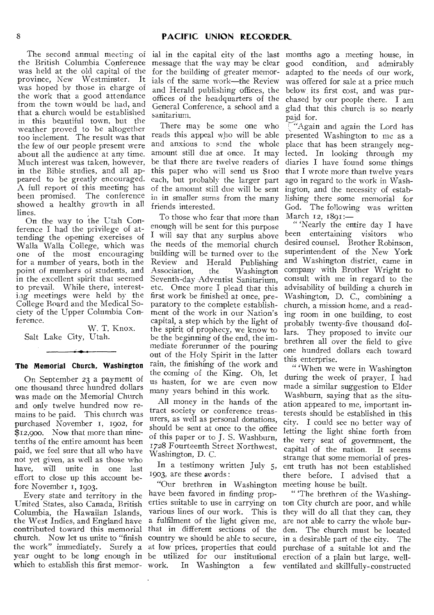the British Columbia Conference was held at the old capital of the province, New Westminster. It was hoped by those in charge of the work that a good attendance from the town would be had, and that a church would be established in this beautiful town, but the weather proved to be altogether too inclement. The result was that the few of our people present were about all the audience at any time. Much interest was taken, however, in the Bible studies, and all appeared to be greatly encouraged. A full report of this meeting has been promised. The conference showed a healthy growth in all lines.

On the way to the Utah Conference I had the privilege of attending the opening exercises of Walla Walla College, which was one of the most encouraging for a number of years, both in the point of numbers of students, and in the excellent spirit that seemed to prevail. While there, interesting meetings were held by the College Board and the Medical Society of the Upper Columbia Conference.

W. T. Knox. Salt Lake City, Utah.

### **The Memorial Church, Washington**

On September 23 a payment of one thousand three hundred dollars was made an the Memorial Church and only twelve hundred now remains to be paid. This church was purchased November I, 1902, for \$12,900. Now that more than ninetenths of the entire amount has been paid, we feel sure that all who have not yet given, as well as those who<br>have, will unite in one last will unite in one last effort to close up this account before November I, 1903.

Every state and territory in the United States, also Canada, British Columbia, the Hawaiian Islands, the West Indies, and England have contributed toward this memorial church. Now let us unite to "finish the work" immediately. Surely a at low prices, properties that could purchase of a suitable lot and the year ought to be long enough in be utilized for our institutional erection of a plain but large, well-

The second annual meeting of ial in the capital city of the last months ago a meeting house, in message that the way may be clear for the building of greater memorials of the same work—the Review and Herald publishing offices, the *offices* of the headquarters of the General Conference, a school and a sanitarium.

> There may be some one who reads this appeal who will be able and anxious to send the whole amount still due at once. It may be that there are twelve readers of this paper who will send us \$too each, but probably the larger part of the amount still due will be sent in in *smaller sums* from the many friends interested.

> To those who fear that more than enough will be sent for this purpose I will say that any surplus above the needs of the memorial church building will be turned over to the Review and Herald Publishing<br>Association, the Washington Washington Seventh-day Adventist Sanitarium, etc. Once more I plead that this first work be finished at once, preparatory to the complete establishment of the work in our Nation's capital, a step which by the light of the spirit of prophecy, we know to be the beginning of the end, the immediate forerunner of the pouring out of the Holy Spirit in the latter rain, the finishing of the work and the coming of the King. Oh, let us hasten, for we are even now many years behind in this work.

All money in the hands of the tract society or conference treasurers, as well as personal donations, should be sent at once to the office of this paper or to J. S. Washburn, 1728 Fourteenth Street Northwest, Washington, D. C.

In a testimony written July *5,*  1903, are these avords :

"Our brethren in Washington have been favored in finding properties suitable to use in carrying on various lines of our work. This is a fulfilment of the light given me,

good condition, and admirably adapted to the needs of our work, was offered for sale at a price much below, its first cost, and was purchased by our people there. I am glad that this church is so nearly paid for.

'Again and again the Lord has presented Washington to me as a place that has been strangely neglected. In looking through my diaries I have found some things that I wrote more than twelve years ago in regard to the work in Washington, and the necessity of establishing there some memorial for God. The following was written March 12, 1891:-

" 'Nearly the entire day I have been entertaining visitors who desired counsel. Brother Robinson, superintendent of the New York and Washington district, came in company with Brother Wright to consult with me in regard to the advisability of building a church in Washington, D. C., combining a church, a mission home, and a reading room in one building, to cost probably twenty-five thousand dollars. They proposed to invite our brethren all over the field to give one hundred dollars each toward this enterprise.

" 'When we were in Washington during the week of prayer, I had made a similar suggestion to Elder Washburn, *saying* that as the situation appeared to me, important interests should be established in this city. I could see no better way of letting the light shine forth from the very seat of government, the capital of the nation. It seems strange that some memorial of present truth has not been established there before. I advised that a meeting house be built.

which to establish this first memor- work. In Washington a few ventilated and skillfully-constructed that in different sections of the den. The church must be located country we should be able to secure, in a desirable part of the city. The " 'The brethren of the Washington City church are poor, and while they will do all that they can, they are not able to carry the whole bur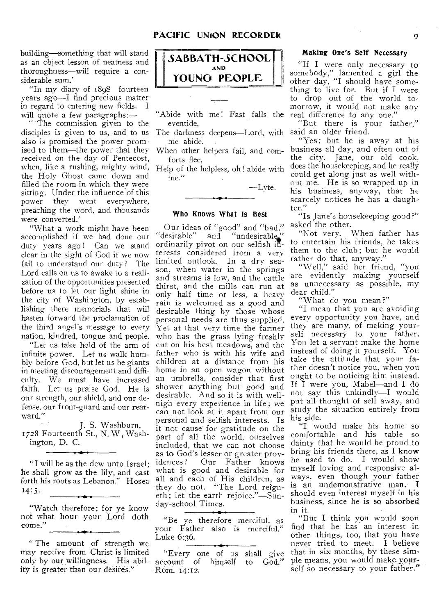building—something that will stand as an object lesson of neatness and thoroughness—will require a considerable sum.'

"In my diary of 1898—fourteen years ago—I find precious matter in regard to entering new fields. I will quote a few paragraphs:—

"The commission given to the disciples is given to us, and to us The darkness deepens—Lord, with said an older friend. also is promised the power promised to them—the power that they received on the day of Pentecost, when, like a rushing, mighty wind, Help of the helpless, oh! abide with the Holy Ghost came down and filled the room in which they were sitting. Under the influence of this power they went everywhere, preaching the word, and thousands were converted.'

"What a work might have been accomplished if we had done our duty years ago! Can we stand clear in the sight of God if we now fail to understand our duty? The Lord calls on us to awake to a realization of the opportunities presented before us to let our light shine in the city of Washington, by establishing there memorials that will hasten forward the proclamation of the third angel's message to every nation, kindred, tongue and people.

"Let us take hold of the arm of infinite power. Let us walk humbly before God, but let us be giants in meeting discouragement and difficulty. We must have increased faith. Let us praise God. He is our strength, our shield, and our defense, our front-guard and our rearward."

J. S. Washburn, 1728 Fourteenth St., N. W, Washington, D. C.

"I will be as the dew unto Israel; he shall grow as the lily, and cast forth his roots as Lebanon." Hosea  $14:5.$ 

"Watch therefore; for ye know not what hour your Lord doth come."

" The amount of strength we may receive from Christ is limited ity is greater than our desires."



"Abide with me! Fast falls the real difference to any one." eventide,

me abide.

When other helpers fail, and comforts flee,

me."

—Lyte.

## Who Knows What Is Best

Our ideas of "good" and "bad," asked the other. "desirable" and "undesirable," ordinarily pivot on our selfish interests considered from a very limited outlook. In a dry season, when water in the springs and streams is low, and the cattle thirst, and the mills can run at only half time or less, a heavy rain is welcomed as a good and desirable thing by those whose personal needs are thus supplied. Yet at that very time the farmer who has the grass lying freshly cut on his best meadows, and the father who is with his wife and children at a distance from his home in an open wagon without an umbrella, consider that first shower anything but good and desirable. And so it is with wellnigh every experience in life ; we can not look at it apart from our personal and selfish interests. Is it not cause for gratitude on the part of all the world, ourselves included, that we can not choose as to God's lesser or greater prov-<br>idences? Our Father knows Our Father knows what is good and desirable for all and each of His children, as they do not. "The Lord reigneth ; let the earth rejoice."—Sunday-school Times.

"Be ye therefore merciful, as your Father also is merciful." Luke 6:36.

only by our willingness. His abil-account of himself to God." "Every one of us shall give Rom. 14:12.

# Making One's Self Necessary

"If I were only necessary to somebody," lamented a girl the other day, "I should have something to live for. But if I were to drop out of the world tomorrow, it would not make any

"But there is your father,"

'Yes; but he is away at his business all day, and often out of the city. Jane, our old cook, does the housekeeping, and he really could get along just as well without me. He is so wrapped up in his business, anyway, that he scarcely notices he has a daughter."

"Is Jane's housekeeping good?"

"Not very. When father has to entertain his friends, he takes them to the club; but he would rather do that, anyway."

"Well," said her friend, "you are evidently making yourself as unnecessary as possible, my dear child."

'What do you mean?"

"I mean that you are avoiding every opportunity you have, and they are many, of making yourself necessary to your father. You let a servant make the home instead of doing it yourself. You take the attitude that your father doesn't notice you, when you ought to be noticing him instead. If I were you, Mabel—and I do not say this unkindly—I would put all thought of self away, and study the situation entirely from his side.

"I would make his home so comfortable and his table so dainty that he would be proud to bring his friends there, as I know he used to do. I would show myself loving and responsive always, even though your father is an undemonstrative man. I should even interest myself in his business, since he is so absorbed in it.

"But I think you would soon find that he has an interest in other things, too, that you have never tried to meet, I believe that in six months, by these simple means, you would make yourself so necessary to your father."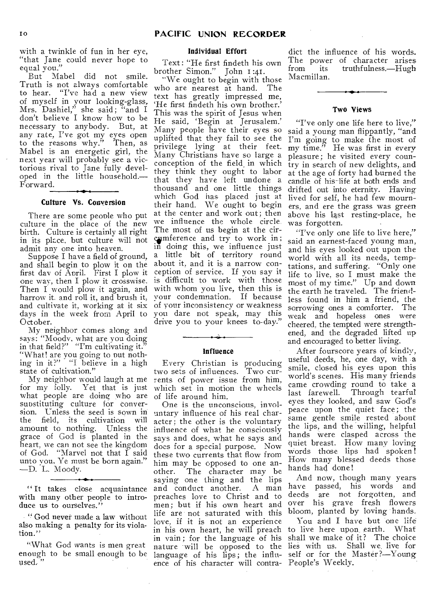with a twinkle of fun in her eye, "that Jane could never hope to equal you."

But Mabel did not smile. Truth is not always comfortable to hear. "I've had a new view of myself in your looking-glass, Mrs. Dashiel," she said; "and I don't believe I know how to be necessary to anybody. But, at any rate, I've got my eyes open to the reasons why." Then, as Mabel is an energetic girl, the next year will probably see a victorious rival to Jane fully developed in the little household.— Forward.

# Culture Vs. Conversion

There are some people who put culture in the place of the new birth. Culture is certainly all right in its place, but culture will not admit any one into heaven.

Suppose I have a field of ground, and shall begin to plow it on the first day of April. First I plow it one way, then I plow it crosswise. Then I would plow it again, and harrow it. and roll it, and brush it, and cultivate it, working at it six days in the week from April to October.

My neighbor comes along and says: "Moody, what are you doing in that field?" "I'm cultivating it." "What! are you going to out nothing in it?" "I believe in a high state of cultivation."

My neighbor would laugh at me for my folly. Yet that is just what people are doing who are suostituting culture for conversion. Unless the seed is sown in<br>the field, its cultivation will the field, its amount to nothing. Unless the grace of God is planted in the heart, we can not see the kingdom of God. "Marvel not that I said unto you, Ye must be born again." —D. L. Moody.

"It takes close acquaintance and conduct another. with many other people to introduce us to ourselves.'

" God never made a law without also making a penalty for its violation."

"What God wants is men great enough to be small enough to be used.

#### Individual Effort

Text : "He first findeth his own brother Simon." John I:41.

"We ought to begin with those who are nearest at hand. The text has greatly impressed me, `He first findeth his own brother.' This was the spirit of Jesus when He said, 'Begin at Jerusalem.' Many people have their eyes so uplifted that they fail to see the privilege lying at their feet. Many Christians have so large a conception of the field in which they think they ought to labor that they have left undone a thousand and one little things which God has placed just at their hand. We ought to begin at the center and work out; then we influence the whole circle. The most of us begin at the cir cumference and try to work in; in doing this, we influence just a little bit of territory round about it, and it is a narrow conception of service. If you say it is difficult to work with those with whom you live, then this is your condemnation. If because of your inconsistency or weakness you dare not speak, may this drive you to your knees to-day."

#### **Influence**

Every Christian is producing two sets of influences. Two currents of power issue from him, which set in motion the wheels of life around him.

One is the unconscious, involuntary influence of his real character; the other is the voluntary influence of what he consciously says and does, what he says and does for a special purpose. Now these two currents that flow from him may be opposed to one another. The character may be saying one thing and the lips and conduct another. A man preaches love to Christ and to men; but if his own heart and life are not saturated with this love, if it is not an experience in his own heart, he will preach to live here upon earth. What in vain; for the language of his shall we make of it? The choice nature will be opposed to the language of his lips; the influence of his character will contra-People's Weekly.

dict the influence of his words. The power of character arises<br>from its truthfulness.—Hugh truthfulness.—Hugh Macmillan.

#### Two Views

"I've only one life here to live," said a young man flippantly, "and I'm going to make the most of my time." He was first in every my time." He was first in every pleasure; he visited every country in search of new delights, and at the age of forty had burned the candle of his-life at both ends and drifted out into eternity. Having lived for self, he had few mourners, and ere the grass was green above his last resting-place, he was forgotten.

"I've only one life to live here,' said an earnest-faced young man, and his eyes looked out upon the world with all its needs, temptations, and suffering. "Only one life to live, so I must make the most of my time." Up and down the earth he traveled. The friendless found in him a friend, the sorrowing ones a comforter. The weak and hopeless ones were cheered, the tempted were strengthened, and the degraded lifted up and encouraged to better living.

After fourscore years of kindly, useful deeds, he, one day, with -a smile, closed his eyes upon this world's scenes. His many friends came crowding round to take a<br>last farewell. Through tearful Through tearful eyes they looked, and saw God's peace upon the quiet face; the same gentle smile rested about the lips, and the willing, helpful hands were clasped across the quiet breast. How many loving words those lips had spoken How many blessed deeds those hands had done!

And now, though many years have passed, his words and deeds are not forgotten, and over his grave fresh flowers bloom, planted by loving hands,

You and I have but one life lies with us. Shall we live for self or for the Master?—Young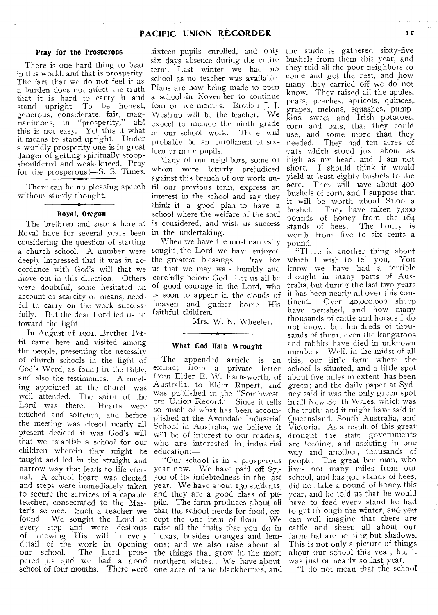#### Pray for the Prosperous

**College** 

 $\Delta$ 

 $\mathcal{L}_{\mathcal{A}}(C)$  .

There is one hard thing to bear in this world, and that is prosperity. The fact that we do not feel it as a burden does not affect the truth that it is hard to carry it and stand upright. To be honest, generous, considerate, fair, magnanimous, in "prosperity,"—ah! this is not easy. Yet this it what it means to stand upright. Under a worldly prosperity one is in great danger of getting spiritually stoopshouldered and weak-kneed. Pray for the prosperous!—S. S. Times.

There can be no pleasing speech without sturdy thought.

#### Royal, Oregon

The brethren and sisters here at Royal have for several years been considering the question of starting a church school. A number were deeply impressed that it was in accordance with God's will that we move out in this direction. Others were doubtful, some hesitated on account of scarcity of means, needful to carry on the work successfully. But the dear Lord led us on toward the light.

In August of 1901, Brother Pettit came here and visited among the people, presenting the necessity of church schools in the light of God's Word, as found in the Bible, and also the testimonies. A meeting appointed at the church was well attended. The spirit of the<br>Lord was there. Hearts were Lord was there. touched and softened, and before the meeting was closed nearly all present decided it was God's will that we establish a school for our children wherein they might be taught and led in the straight and narrow way that leads to life eternal. A school board was elected and steps were immediately taken to secure the services of a capable teacher, consecrated to the Master's service. Such a teacher we found. We sought the Lord at every step and were desirous of knowing His will in every detail of the work in opening<br>our school. The Lord pros-The Lord prospered us and we had a good northern states. We have about school of four months. There were one acre of tame blackberries, and

sixteen pupils enrolled, and only six days absence during the entire term. Last winter we had no school as no teacher was available. Plans are now being made to open a school -in November to continue four or five months. Brother J. J. Westrup will be the teacher. We expect to include the ninth grade in our school work. There will probably be an enrollment of sixteen or more pupils.

Many of our neighbors, some of whom were bitterly prejudiced against this branch of our work until our previous term, express an interest in the school and say they think it a good plan to have a school where the welfare of the soul is considered, and wish us success in the undertaking.

When we have the most earnestly sought the Lord we have enjoyed the greatest blessings. Pray for us that we may walk humbly and carefully before God. Let us all be of good courage in the Lord, who is soon to appear in the clouds of heaven and gather home His faithful children.

Mrs. W. N. Wheeler.

## What God Hath Wrought

The appended article is an extract from a private letter from Elder E. W. Farnsworth, of Australia, to Elder Rupert, and was published in the "Southwestern Union Record." Since it tells so much of what has been accomplished at the Avondale Industrial School in Australia, we believe it will be of interest to our readers, who are interested in. industrial education:—

"Our school is in a prosperous year now. We have paid off \$7,- 500 of its indebtedness in the last year. We have about 13o students, and they are a good class of pupils. The farm produces about all that the school needs for food, except the one item of flour. We raise all the fruits that you do in Texas, besides oranges and lemons; and we also raise about all the things that grow in the more

the students gathered sixty-five bushels from them this year, and they told all the poor neighbors to come and get the rest, and how many they carried off we do not know. They raised all the apples, pears, peaches, apricots, quinces, grapes, melons, squashes, pumpkins, sweet and Irish potatoes, corn and oats, that they could use, and some more than they needed. They had ten acres of oats which stood just about as high as my head, and I am not short. I should think it would yield at least eighty bushels to the acre. They will have about 400 bushels of corn, and I suppose that it will be worth about \$1.00 a bushel. They have taken 7,000 pounds of honey from the 164 stands of bees. The honey is worth from five to six cents a pound.

"There is another thing about which I wish to tell you, You know we have had a terrible drought in many parts of Australia, but during the last two years• it has been nearly all over this continent. Over 40,000,000 sheep have perished, and how many thousands of cattle and horses I do not know. but hundreds of thousands of them; even the kangaroos and rabbits have died in unknown numbers, Well, in the midst of all this, our little farm where the school is situated, and a little spot about five miles in extent, has been green; and the daily paper at Syd- ney said it was the only green spot in all New South Wales, which was the truth; and it might have said in Queensland, South Australia, and Victoria. As a result of this great drought the state governments are feeding, and assisting in one way and another, thousands of people. The great bee man, who lives not many miles from our school, and has 30o stands of bees, did not take a pound of honey. this year, and he told us that he would have to feed every stand he had to get through the winter, and you can well imagine that there are cattle and sheen all about our farm.that are nothing but shadows. This is not only a picture of things about our school this year, .but it was just or nearly so last year.,

"I do not mean that the school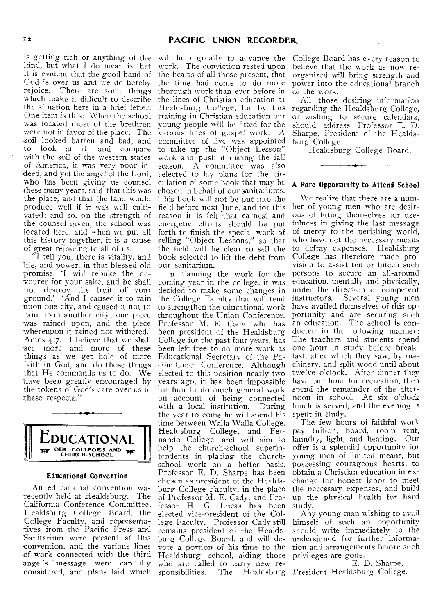is getting rich or anything of the kind, but what I do mean is that it is evident that the good hand of God is over us and we do hereby rejoice. There are some things which make it difficult to describe the situation here in a brief letter. One item is this: When the school was located most of the brethren were not in favor of the place. The soil looked barren and bad, and<br>to look at it, and compare look at it, and compare with the soil of the western states of America, it was very poor indeed, and yet the angel of the Lord, who has been giving us counsel these many years, said that this was the place, and that the land would produce well if it Was well cultivated; and so, on the strength of the counsel given, the school was located here, and when we put all this history together, it is a cause of great rejoicing to all of us.

"I tell you, there is vitality, and life, and power. in that blessed old promise, 'I will rebuke the devourer for your sake, and he shall not destroy the fruit of your ground.' And I caused it to rain upon one city, and caused it not to rain upon another city; one piece was rained upon, and the piece whereupon it rained not withered.' Amos 4:7. I believe that we shall see more and more of these things as we get hold of more faith in God, and do those things that He commands us to do. We have been greatly encouraged by the tokens of God's care over us in these respects."



#### Educational Convention

An educational convention was recently held at Healdsburg. The California Conference Committee, Healdsburg College Board, the College Faculty, and represen'tatives from the Pacific Press and Sanitarium were present at this convention, and the various lines of work connected with the third angel's message were carefully considered, and plans laid which

will help greatly to advance the work. The conviction rested upon the hearts of all those present, that the time had come to do more thorough work than ever before in the lines of Christian education at Healdsburg College, for by this training in Christian education our young people will be fitted for the various lines of gospel work. A committee of five was appointed to take up the "Object Lesson" work and push it during the fall season. A committee was also selected to lay plans for the circulation of some book that may be chosen in behalf of our sanitariums. This book will not be put into the field before next June, and for this reason it is felt that earnest and energetic efforts should be put forth to finish the special work of selling "Object Lessons," so that the field will be clear to sell the book selected to lift the debt from our sanitarium.

In planning the work for the coming year in the college, it was decided to make some changes in the College Faculty that will tend to strengthen the educational work throughout the Union Conference. Professor M. E. Cadv. who has been president of the Healdsburg College for the past four years, has been left free to do more work as Educational Secretary of the Pacific Union Conference. Although elected to this position nearly two years ago, it has been impossible for him to do much general work on account of being connected with a local institution. During the year to come he will spend his time between Walla Walla College, Healdsburg College, and Fernando College, and will aim to help the church-school superintendents in placing the churchschool work on a better basis. Professor E. D. Sharpe has been chosen as president of the Healdsburg College Faculty, in the place of Professor M. E. Cady, and Professor H. G. Lucas has been elected vice-oresident of the College Faculty. Professor Cady still remains president of the Healdsburg College Board, and will devote a portion of his time to the Healdsburg school, aiding those who are called to carry new responsibilities. The Healdsburg President Healdsburg College.

College Board has every reason to believe that the work as now reorganized will bring strength and power into the educational branch of the work.

All those desiring information regarding the Healdsburg College, or wishing to secure calendars, should address Professor E. D. Sharpe, President of the Healdsburg College.

Healdsburg College Board.

#### A Rare Opportunity to Attend School

We realize that there are a number of young men who are desirous of fitting themselves for usefulness in giving the last message of mercy to the oerishing world, who have not the necessary means to defray expenses. Healdsburg College has therefore made provision to assist ten or fifteen such persons to secure an all-around education, mentally and physically, under the direction of competent instructors. Several young men have availed themselves of this opportunity and are securing such an education. The school is conducted in the following manner: The teachers and students spend one hour in study before breakfast, after which they saw, by machinery, and split wood until about twelve o'clock. After dinner they have one hour for recreation, then spend the remainder of the afternoon in school. At six o'clock lunch is served, and the evening is spent in study.

The few hours of faithful work pay tuition, board, room rent, laundry, light, and heating. Our offer is a splendid opportunity for young men of limited means, but possessing courageous hearts, to obtain a Christian education in exchange for honest labor to meet the necessary expenses, and build up the physical health for hard study.

Any young man wishing to avail himself of such an opportunity should write immediately to the undersigned for further information and arrangements before such privileges are gone.

E. D. Sharpe,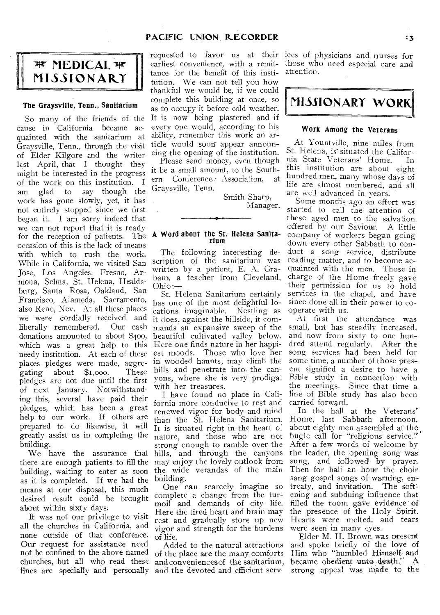# **PACIFIC UNION**. **RECORDER**

# *MEDICAL*  $#$ **MISSIONARY**

#### The Graysville, *Tenn.,* Sanitarium

So many of the friends of the<br>cause in California became acquainted with the sanitarium at ability, remember this work an ar-<br>Graysville Tenn, through the visit ticle would soon appear announ-Graysville, Tenn., through the visit of Elder Kilgore and the writer cing the opening of the institution.<br>lect. April, that I, thought, they Please send money, even though last April, that I thought they Please send money, even though<br>might be interested in the progress it be a small amount, to the Southmight be interested in the progress it be a small amount, to the Southof the work on this institution. I  $_{\rm cm}^{\rm cm}$  Conference am glad to say though the work has gone slowly, yet, it has not entirely stopped since we first began it. I am sorry indeed that we can not report that it is ready for the reception of patients. The occasion of this is the lack of means with which to rush the work. While in California, we visited San Jose, Los Angeles, Fresno, Armona, Selma, St. Helena, Healdsburg, Santa Rosa, Oakland, San Francisco, Alameda, Sacramento, also Reno, Nev. At all these places we were cordially received and<br>liberally remembered. Our cash liberally remembered. donations amounted to about \$400, which was a great help to this needy institution. At each of these places pledges were made, aggre-<br>gating about \$1,000. These gating about  $$1,000$ . pledges are not due until the first of next January. Notwithstanding this, several have paid their pledges, which has been a great help to our work. If others are prepared to do likewise, it will greatly assist us in completing the building.

there are enough patients to fill the may enjoy the lovely outlook from building, waiting to enter as soon as it is completed. If we had the means at our disposal, this much desired result could be brought about within sixty days.

It was not our privilege to visit all the churches in California, and none outside of that conference. Our request for assistance need not be confined to the above named churches, but all who read these lines are specially and personally

every one would, according to his tance for the benefit of this institution. We can not tell you how thankful we would be, if we could complete this building at once, so as to occupy it before cold weather. It is now being plastered and if

Smith Sharp, Manager.

#### A Word about the St. Helena Sanitarium

The following interesting description of the sanitarium was written by a patient, E. A. Graham, a teacher from Cleveland, Ohio:—

St. Helena Sanitarium certainly has one of the most delightful locations imaginable. Nestling as it does, against the hillside, it commands an expansive sweep of the beautiful cultivated valley below. Here one finds nature in her happiest moods. Those who love her in wooded haunts, may climb the hills and penetrate into. the canyons, where she is very prodigal with her treasures.

We have the assurance that hills, and through the canyons I have found no place in California more conducive to rest and renewed vigor for body and mind than the St. Helena Sanitarium. It is situated right in the heart of nature, and those who are not strong enough to ramble over the the wide verandas of the main building.

One can scarcely imagine so complete a change from the turmoil and demands of city life. Here the tired heart and brain may rest and gradually store up new vigor and strength for the burdens were seen in many eyes. of life.

Added to the natural attractions of the place are the many comforts and conveniencesof the sanitarium, and the devoted and efficient sere

requested to favor us at their ices of physicians and nurses for earliest convenience, with a remit-those who need especial care and attention.



#### Work Among the Veterans

At Yountville, nine miles from St. Helena, is situated the Califor-<br>nia State Veterans' Home. In nia State Veterans' Home. this institution are about eight hundred men, many whose days of life are almost numbered, and all are well advanced in years.

Some months ago an effort was started to call the attention of these aged men to the salvation offered by our Saviour. A little company of workers began going down every other Sabbath to conduct a song service, 'distribute reading matter, and to become acquainted with the men. Those in charge of the Home freely gave their permission for us to hold services in the chapel, and have since done all in their power to cooperate with us.

At first the attendance was small, but has steadily increased, and now from sixty to one hundred attend regularly. After the song services had been held for some time, a number of those present signified a desire to have a Bible study in connection with the meetings. Since that time a line of Bible study has also been carried forward.

In the hall at the Veterans' Home, last Sabbath afternoon, about eighty men assembled at the . bugle call for "religious service." After a few words of welcome by the leader, the opening song was sung, and followed by prayer. Then for half an hour the choir sang gospel songs of warning, entreaty, and invitation. The softening and subduing influence that filled the room gave evidence of the presence of the Holy Spirit. Hearts were melted, and tears

Elder M. H. Brown was present and spoke briefly of the love of Him who "humbled Himself and became obedient unto death." A strong appeal was made to the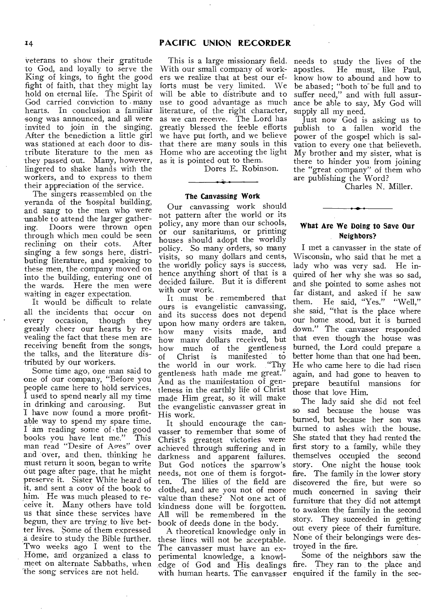song was announced, and all were invited to join in the singing. After the benediction a little girl was stationed at each door to distribute literature to the men as they passed out. Many, however, lingered to shake hands with the workers, and to express to them their appreciation of the service.

The singers reassembled on the veranda of the 'hospital building, and sang to the men who were unable to attend the larger gathering. Doors were thrown open through which men could be seen<br>reclining on their cots. After reclining on their cots. singing a few songs here, distributing literature, and speaking to these men, the company moved on into the building, entering one of the wards. Here the men were waiting in eager expectation.

It would be difficult to relate all the incidents that occur on<br>every occasion, though they every occasion, greatly cheer our hearts by revealing the fact that these men are receiving benefit from the songs, the talks, and the literature distributed by our workers.

Some time ago, one man said to one of our company, "Before you people came here to hold services, I used to spend nearly all my time in drinking and carousing. I have now found a more profitable way to spend my spare time. I am reading some of the good<br>books you have lent me." This books you have lent me." man read "Desire of Ages" over and over, and then, thinking he must return it soon, began to write out page after page, that he might preserve it. Sister White heard of it, and sent a cony of the book to him. He was much pleased to receive it. Many others have told us that since these services have begun, they are trying to live better lives. Some of them expressed a desire to study the Bible further. Two weeks ago I went to the Home, and organized a class to meet on alternate Sabbaths, when the song services are not held.

# 14 **PACIFIC UNION RECORDER**

This is a large missionary field. needs to study the lives of the With our small company of workers we realize that at best our efforts must be very limited. We will be able to distribute and to use to good advantage as much literature, of the right character, as we can receive. The Lord has greatly blessed the feeble efforts we have put forth, and we believe that there are many souls in this Home who are accenting the light as it is pointed out to them.

Dores E. Robinson.

#### The Canvassing Work

Our canvassing work should not pattern after the world or its policy, any more than our schools, or our sanitariums, or printing houses should adopt the worldly policy. So many, orders, so many visits, so many dollars and cents, the worldly policy says is success, hence anything short of that is a decided failure. But it is different with our work.

It must be remembered that ours is evangelistic canvassing, and its success does not depend upon how many orders are taken, how many visits made, and how many dollars received, but how much of the gentleness<br>of Christ is manifested to manifested to<br> $r$  work. "Thy the world in our work. gentlenes's hath made me great." And as the manifestation of gentleness in the earthly life of Christ made Him great, so it will make the evangelistic canvasser great in His work.

It should encourage the canvasser to remember that some of Christ's greatest victories were achieved through suffering and in darkness and apparent failures. But God notices the sparrow's needs, not one of them is forgot-The lilies of the field are clothed, and are you not of more value than these? Not one act of kindness done will be forgotten. All will be remembered in the book of deeds done in the body.

A theoretical knowledge only in these lines will not be acceptable. The canvasser must have an experimental knowledge, a knowledge of God and His dealings with human hearts. The canvasser

apostles. He must, like Paul, know how to abound and how to be abased; "both to be full and to suffer need," and with full assurance be able to say, My God will supply all my need.

Just now God is asking us to publish to a fallen world the power of the gospel which is salvation to every one that believeth. My brother and my sister, what is there to hinder you from joining the "great company" of them who are publishing the Word?

Charles N. Miller.

# What Are We Doing to Save Our Neighbors?

للمنجلين

I met a canvasser in the state of Wisconsin, who said that he met a lady who was very sad. He inquired of her why she was so sad, and she pointed to some ashes not far distant, and asked if he saw<br>them. He said. "Yes." "Well." He said, "Yes." "Well." she said, "that is the place where our home stood, but it is burned down." The canvasser responded that even though the house was burned, the Lord could prepare a better home than that one had been. He who came here to die had risen again, and had gone to heaven to prepare beautiful mansions for those that love Him.

The lady said she did not feel so sad because the house was burned, but because her son was burned to ashes with the house. She stated that they had rented the first story to a family, while they themselves occupied the second story. One night the house took fire. The family in the lower story discovered the fire, but were so much concerned in saving their furniture that they did not attempt to awaken the family in the second story. They succeeded in getting out every piece of their furniture. None of their belongings were destroyed in the fire.

Some of the neighbors saw the fire. They ran to the place and enquired if the family in the sec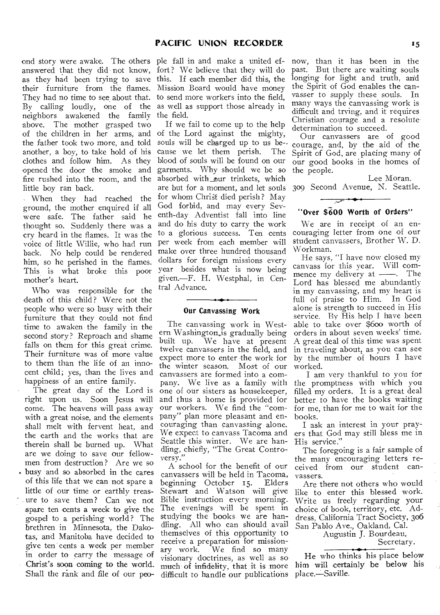and story were awake. The others ple fall in and make a united efanswered that they did not know, fort? We believe that they will do as they had been trying to save this. If each member did this, the their furniture from the flames. Mission Board would have money They had no time to see about that. to send more workers into the field, By calling loudly, one of the as well as support those already in neighbors awakened the family the field. above. The mother grasped two of the children in her arms, and of the Lord against the mighty, the father took two more, and told another, a boy, to take hold of his clothes and follow him. As they opened the door the smoke and fire rushed into the room, and the little boy ran back.

When they had reached the ground, the mother enquired if all were safe. The father said he thought so. Suddenly there was a cry heard in the flames. It was the voice of little Willie, who had run back. No help could be rendered him, so he perished in the flames. This is what broke this poor mother's heart.

Who was responsible for the death of this child? Were not the people who were so busy with their furniture that they could not find time to awaken the family in the second story? Reproach and shame falls on them for this great crime. Their furniture was of more value to them than the life of an innocent child; yes, than the lives and happiness of an entire family.

The great day of the Lord is right upon us. Soon Jesus will come. The heavens will pass away with a great noise, and the elements shall melt with fervent heat, and the earth and the works that are therein shall be burned up. What are we doing to save our fellowmen from destruction? Are we so . busy and so absorbed in the cares of this life that we can not spare a little of our time or earthly treasure to save them ? Can we not spare ten cents a week to give the gospel to a perishing world? The brethren in Minnesota, the Dakotas, and Manitoba have decided to give ten cents a week per member in order to carry the message of Christ's soon coming to the world. Shall the rank and file of our peo-

If we fail to come up to the help souls will be charged up to us be-. cause we let them perish. The blood of souls will be found on our garments. Why should we be so absorbed with\_our trinkets, which are but for a moment, and let souls for whom Christ died perish? May God forbid, and may every Seventh-day Adventist fall into line and do his duty to carry the work to a glorious success. Ten cents per week from each member will make over three hundred thousand dollars for foreign missions every year besides what is now being given.—F. H. Westphal, in Central Advance.

#### **Our Canvassing Work**

The canvassing work in Western Washington is gradually being built up. We have at present twelve canvassers in the field, and expect more to enter the work for the winter season. Most of our canvassers are formed into a company. We live as a family with one of our sisters as housekeeper, and thus a home is provided for our workers. We find the "company" plan more pleasant and encouraging than canvassing alone. We expect to canvass Tacoma and Seattle this winter. We are handling, chiefly, "The Great Controversy."

A school for the benefit of our canvassers will be held in Tacoma, beginning October i5. Elders Stewart and Watson will give Bible instruction every morning. The evenings will be spent in studying the books we are handling. All who can should avail themselves of this opportunity to receive a preparation for missionary work. We find so many visionary doctrines, as well as so much of infidelity, that it is more difficult to handle our publications

now, than it has been in the past. But there are waiting souls longing for light and truth, and the Spirit of God enables the canvasser to supply these souls. In many ways the canvassing work is difficult and trying, and it requires Christian courage and a resolute determination to succeed.

Our canvassers are of good courage, and, by the aid of the Spirit of God, are placing many of our good books in the homes of the people.

Lee Moran. 309 Second Avenue, N. Seattle.

# **"Over \$600 Worth of Orders"**

We are in receipt of an encouraging letter from one of our student canvassers, Brother W. D. Workman.

He says, "I have now closed my canvass for this year. Will commence my delivery at - The Lord has blessed me abundantly in my canvassing, and my heart is full of praise to Him. In God alone is strength to succeed in His service. By His help I have been able to take over \$600 worth of orders in about seven weeks' time. A great deal of this time was spent in traveling about, as you can see by the number of hours I have worked.

I am very thankful to you for the promptness with which you filled my orders. It is a great deal better to have the books waiting for me, than for me to wait for the hooks.

I ask an interest in your prayers that God may still bless me in His service."

The foregoing is a fair sample of the many encouraging letters received from our student canvassers.

Are there not others who would like to enter this blessed work. Write us freely regarding your choice of book, territory, etc. Address, California Tract Society, 306 San Pablo Ave., Oakland, Cal.

Augustin J. Bourdeau,

Secretary.

He who thinks his place below him will certainly be below his place.—Saville.